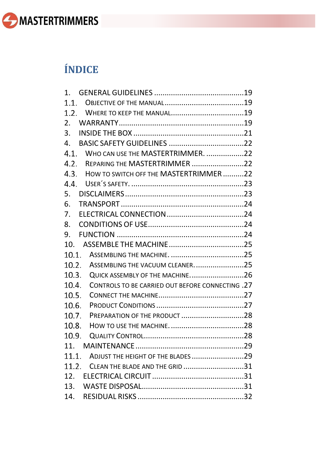

# **ÍNDICE**

| $1_{-}$                                                   |  |
|-----------------------------------------------------------|--|
|                                                           |  |
|                                                           |  |
| 2 <sub>1</sub>                                            |  |
| 3.                                                        |  |
| 4.                                                        |  |
| 4.1. WHO CAN USE THE MASTERTRIMMER. 22                    |  |
| REPARING THE MASTERTRIMMER22<br>4.2.                      |  |
| 4.3. HOW TO SWITCH OFF THE MASTERTRIMMER22                |  |
| 4.4.                                                      |  |
| 5.                                                        |  |
| 6.                                                        |  |
| 7.                                                        |  |
| 8.                                                        |  |
| 9.                                                        |  |
|                                                           |  |
| 10.1.                                                     |  |
| ASSEMBLING THE VACUUM CLEANER25<br>10.2.                  |  |
| QUICK ASSEMBLY OF THE MACHINE26<br>10.3.                  |  |
| 10.4.<br>CONTROLS TO BE CARRIED OUT BEFORE CONNECTING .27 |  |
| 10.5.                                                     |  |
| 10.6.                                                     |  |
| 10.7.<br>PREPARATION OF THE PRODUCT 28                    |  |
| 10.8.                                                     |  |
| 10.9.                                                     |  |
|                                                           |  |
| ADJUST THE HEIGHT OF THE BLADES 29<br>11.1.               |  |
| CLEAN THE BLADE AND THE GRID 31<br>11.2.                  |  |
|                                                           |  |
| 13.                                                       |  |
| 14.                                                       |  |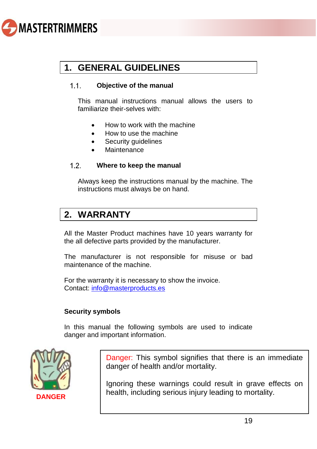

## <span id="page-1-0"></span>**1. GENERAL GUIDELINES**

#### <span id="page-1-1"></span> $11$ **Objective of the manual**

This manual instructions manual allows the users to familiarize their-selves with:

- How to work with the machine
- How to use the machine
- Security guidelines
- Maintenance

#### <span id="page-1-2"></span> $1.2.$ **Where to keep the manual**

Always keep the instructions manual by the machine. The instructions must always be on hand.

### <span id="page-1-3"></span>**2. WARRANTY**

All the Master Product machines have 10 years warranty for the all defective parts provided by the manufacturer.

The manufacturer is not responsible for misuse or bad maintenance of the machine.

For the warranty it is necessary to show the invoice. Contact: [info@masterproducts.es](mailto:info@masterproducts.es)

### **Security symbols**

In this manual the following symbols are used to indicate danger and important information.



Danger: This symbol signifies that there is an immediate danger of health and/or mortality.

Ignoring these warnings could result in grave effects on health, including serious injury leading to mortality. **DANGER**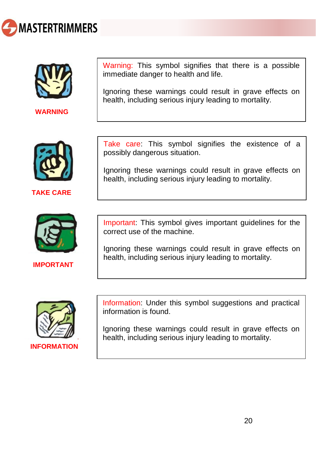



**WARNING**



**TAKE CARE**



**IMPORTANT** 

Warning: This symbol signifies that there is a possible immediate danger to health and life.

Ignoring these warnings could result in grave effects on health, including serious injury leading to mortality.

Take care: This symbol signifies the existence of a possibly dangerous situation.

Ignoring these warnings could result in grave effects on health, including serious injury leading to mortality.

Important: This symbol gives important guidelines for the correct use of the machine.

Ignoring these warnings could result in grave effects on health, including serious injury leading to mortality.



**INFORMATION**

Information: Under this symbol suggestions and practical information is found.

Ignoring these warnings could result in grave effects on health, including serious injury leading to mortality.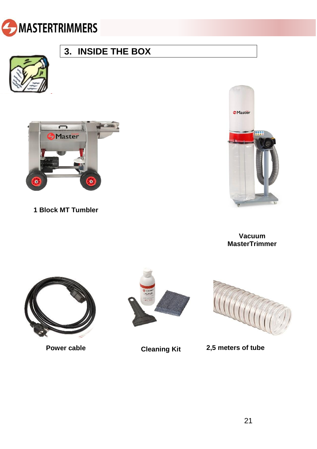<span id="page-3-0"></span>



## **3. INSIDE THE BOX**



**1 Block MT Tumbler**



**Vacuum MasterTrimmer** 





**Power cable Cleaning Kit 2,5 meters of tube**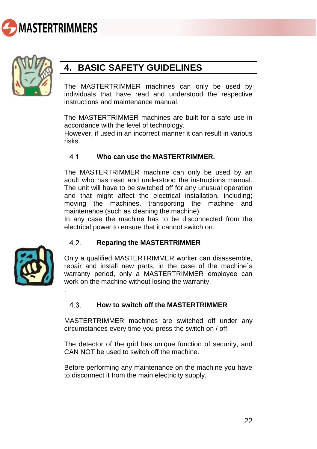<span id="page-4-0"></span>



### **4. BASIC SAFETY GUIDELINES**

The MASTERTRIMMER machines can only be used by individuals that have read and understood the respective instructions and maintenance manual.

The MASTERTRIMMER machines are built for a safe use in accordance with the level of technology.

However, if used in an incorrect manner it can result in various risks.

#### <span id="page-4-1"></span> $4.1.$ **Who can use the MASTERTRIMMER.**

The MASTERTRIMMER machine can only be used by an adult who has read and understood the instructions manual. The unit will have to be switched off for any unusual operation and that might affect the electrical installation, including; moving the machines, transporting the machine and maintenance (such as cleaning the machine).

In any case the machine has to be disconnected from the electrical power to ensure that it cannot switch on.



.

#### <span id="page-4-2"></span> $4.2$ **Reparing the MASTERTRIMMER**

Only a qualified MASTERTRIMMER worker can disassemble, repair and install new parts, in the case of the machine´s warranty period, only a MASTERTRIMMER employee can work on the machine without losing the warranty.

#### <span id="page-4-3"></span>4 3 **How to switch off the MASTERTRIMMER**

MASTERTRIMMER machines are switched off under any circumstances every time you press the switch on / off.

The detector of the grid has unique function of security, and CAN NOT be used to switch off the machine.

Before performing any maintenance on the machine you have to disconnect it from the main electricity supply.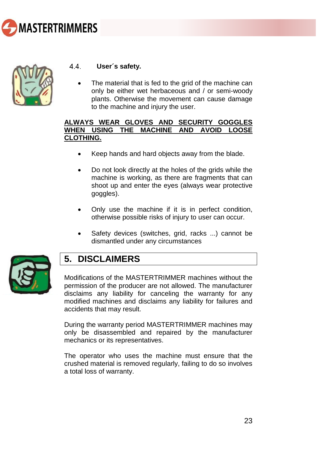



#### <span id="page-5-0"></span>44 **User´s safety.**

The material that is fed to the grid of the machine can only be either wet herbaceous and / or semi-woody plants. Otherwise the movement can cause damage to the machine and injury the user.

### **ALWAYS WEAR GLOVES AND SECURITY GOGGLES WHEN USING THE MACHINE AND AVOID LOOSE CLOTHING.**

- Keep hands and hard objects away from the blade.
- Do not look directly at the holes of the grids while the machine is working, as there are fragments that can shoot up and enter the eyes (always wear protective goggles).
- Only use the machine if it is in perfect condition, otherwise possible risks of injury to user can occur.
- Safety devices (switches, grid, racks ...) cannot be dismantled under any circumstances



### <span id="page-5-1"></span>**5. DISCLAIMERS**

Modifications of the MASTERTRIMMER machines without the permission of the producer are not allowed. The manufacturer disclaims any liability for canceling the warranty for any modified machines and disclaims any liability for failures and accidents that may result.

During the warranty period MASTERTRIMMER machines may only be disassembled and repaired by the manufacturer mechanics or its representatives.

The operator who uses the machine must ensure that the crushed material is removed regularly, failing to do so involves a total loss of warranty.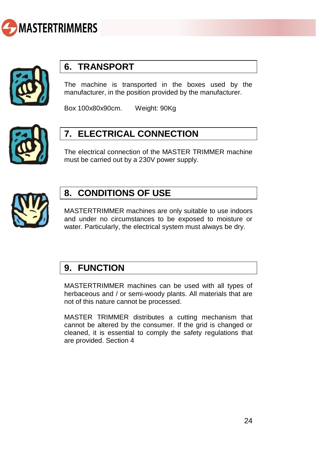<span id="page-6-1"></span>



### <span id="page-6-0"></span>**6. TRANSPORT**

The machine is transported in the boxes used by the manufacturer, in the position provided by the manufacturer.

Box 100x80x90cm. Weight: 90Kg



### **7. ELECTRICAL CONNECTION**

The electrical connection of the MASTER TRIMMER machine must be carried out by a 230V power supply.



### <span id="page-6-2"></span>**8. CONDITIONS OF USE**

MASTERTRIMMER machines are only suitable to use indoors and under no circumstances to be exposed to moisture or water. Particularly, the electrical system must always be dry.

### <span id="page-6-3"></span>**9. FUNCTION**

MASTERTRIMMER machines can be used with all types of herbaceous and / or semi-woody plants. All materials that are not of this nature cannot be processed.

MASTER TRIMMER distributes a cutting mechanism that cannot be altered by the consumer. If the grid is changed or cleaned, it is essential to comply the safety regulations that are provided. Section 4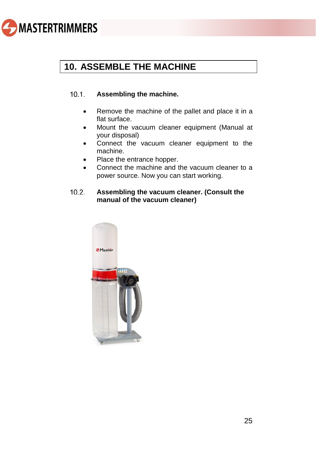

## <span id="page-7-0"></span>**10. ASSEMBLE THE MACHINE**

#### <span id="page-7-1"></span> $10.1$ **Assembling the machine.**

- Remove the machine of the pallet and place it in a flat surface.
- Mount the vacuum cleaner equipment (Manual at your disposal)
- Connect the vacuum cleaner equipment to the machine.
- Place the entrance hopper.
- Connect the machine and the vacuum cleaner to a power source. Now you can start working.

#### <span id="page-7-2"></span> $10.2$ **Assembling the vacuum cleaner. (Consult the manual of the vacuum cleaner)**

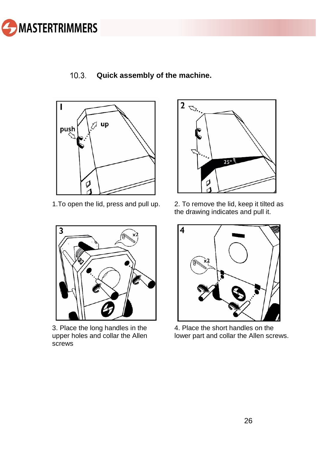

#### <span id="page-8-0"></span> $10.3.$ **Quick assembly of the machine.**





3. Place the long handles in the upper holes and collar the Allen screws



1.To open the lid, press and pull up. 2. To remove the lid, keep it tilted as the drawing indicates and pull it.



4. Place the short handles on the lower part and collar the Allen screws.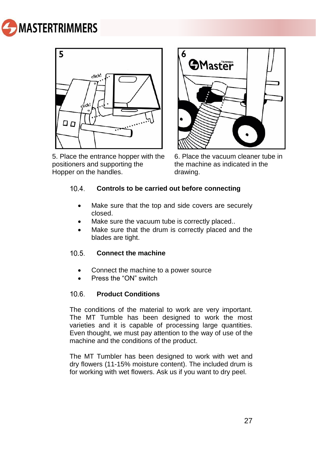



5. Place the entrance hopper with the positioners and supporting the Hopper on the handles.



6. Place the vacuum cleaner tube in the machine as indicated in the drawing.

#### <span id="page-9-0"></span> $10\,4$ **Controls to be carried out before connecting**

- Make sure that the top and side covers are securely closed.
- Make sure the vacuum tube is correctly placed..
- Make sure that the drum is correctly placed and the blades are tight.

#### <span id="page-9-1"></span> $10.5<sub>1</sub>$ **Connect the machine**

- Connect the machine to a power source
- Press the "ON" switch

#### <span id="page-9-2"></span> $10.6$ **Product Conditions**

The conditions of the material to work are very important. The MT Tumble has been designed to work the most varieties and it is capable of processing large quantities. Even thought, we must pay attention to the way of use of the machine and the conditions of the product.

The MT Tumbler has been designed to work with wet and dry flowers (11-15% moisture content). The included drum is for working with wet flowers. Ask us if you want to dry peel.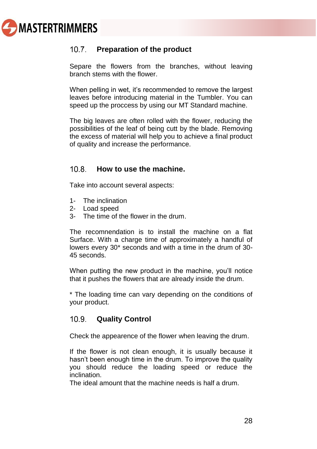

#### <span id="page-10-0"></span> $10.7$ **Preparation of the product**

Separe the flowers from the branches, without leaving branch stems with the flower.

When pelling in wet, it's recommended to remove the largest leaves before introducing material in the Tumbler. You can speed up the proccess by using our MT Standard machine.

The big leaves are often rolled with the flower, reducing the possibilities of the leaf of being cutt by the blade. Removing the excess of material will help you to achieve a final product of quality and increase the performance.

#### <span id="page-10-1"></span> $10.8$ **How to use the machine.**

Take into account several aspects:

- 1- The inclination
- 2- Load speed
- 3- The time of the flower in the drum.

The recomnendation is to install the machine on a flat Surface. With a charge time of approximately a handful of lowers every 30\* seconds and with a time in the drum of 30- 45 seconds.

When putting the new product in the machine, you'll notice that it pushes the flowers that are already inside the drum.

\* The loading time can vary depending on the conditions of your product.

#### <span id="page-10-2"></span> $10.9.$ **Quality Control**

Check the appearence of the flower when leaving the drum.

If the flower is not clean enough, it is usually because it hasn't been enough time in the drum. To improve the quality you should reduce the loading speed or reduce the inclination.

The ideal amount that the machine needs is half a drum.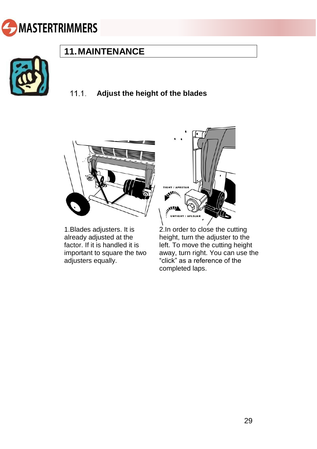<span id="page-11-0"></span>



### **11.MAINTENANCE**

#### <span id="page-11-1"></span> $11.1$ **Adjust the height of the blades**



1.Blades adjusters. It is already adjusted at the factor. If it is handled it is important to square the two adjusters equally.



2.In order to close the cutting height, turn the adjuster to the left. To move the cutting height away, turn right. You can use the "click" as a reference of the completed laps.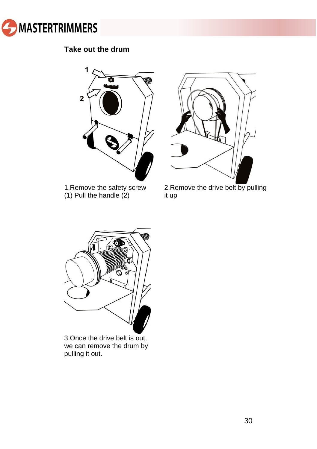

### **Take out the drum**



1.Remove the safety screw (1) Pull the handle (2)



2.Remove the drive belt by pulling it up



3.Once the drive belt is out, we can remove the drum by pulling it out.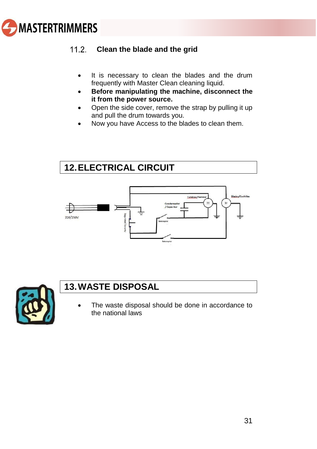<span id="page-13-2"></span>

#### <span id="page-13-0"></span> $11.2$ **Clean the blade and the grid**

- It is necessary to clean the blades and the drum frequently with Master Clean cleaning liquid.
- **Before manipulating the machine, disconnect the it from the power source.**
- Open the side cover, remove the strap by pulling it up and pull the drum towards you.
- Now you have Access to the blades to clean them.

### <span id="page-13-1"></span>**12.ELECTRICAL CIRCUIT**





### **13.WASTE DISPOSAL**

The waste disposal should be done in accordance to the national laws